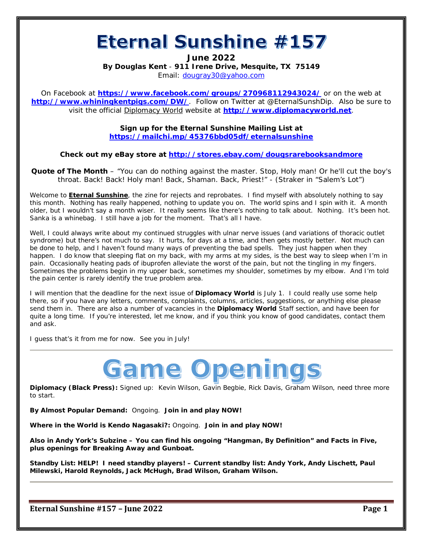# Eternal Sunshine #157

**June 2022**

**By Douglas Kent** - **911 Irene Drive, Mesquite, TX 75149** Email: [dougray30@yahoo.com](mailto:dougray30@yahoo.com)

On Facebook at **<https://www.facebook.com/groups/270968112943024/>** or on the web at **<http://www.whiningkentpigs.com/DW/>**. Follow on Twitter at @EternalSunshDip. Also be sure to visit the official Diplomacy World website at **[http://www.diplomacyworld.net](http://www.diplomacyworld.net/)**.

> **Sign up for the Eternal Sunshine Mailing List at <https://mailchi.mp/45376bbd05df/eternalsunshine>**

**Check out my eBay store at<http://stores.ebay.com/dougsrarebooksandmore>**

*Quote of The Month* – "You can do nothing against the master. Stop, Holy man! Or he'll cut the boy's throat. Back! Back! Holy man! Back, Shaman. Back, Priest!" - (Straker in "Salem's Lot")

Welcome to **Eternal Sunshine**, the zine for rejects and reprobates. I find myself with absolutely nothing to say this month. Nothing has really happened, nothing to update you on. The world spins and I spin with it. A month older, but I wouldn't say a month wiser. It really seems like there's nothing to talk about. Nothing. It's been hot. Sanka is a whinebag. I still have a job for the moment. That's all I have.

Well, I could always write about my continued struggles with ulnar nerve issues (and variations of thoracic outlet syndrome) but there's not much to say. It hurts, for days at a time, and then gets mostly better. Not much can be done to help, and I haven't found many ways of preventing the bad spells. They just happen when they happen. I do know that sleeping flat on my back, with my arms at my sides, is the best way to sleep when I'm in pain. Occasionally heating pads of ibuprofen alleviate the worst of the pain, but not the tingling in my fingers. Sometimes the problems begin in my upper back, sometimes my shoulder, sometimes by my elbow. And I'm told the pain center is rarely identify the true problem area.

I will mention that the deadline for the next issue of **Diplomacy World** is July 1. I could really use some help there, so if you have any letters, comments, complaints, columns, articles, suggestions, or anything else please send them in. There are also a number of vacancies in the **Diplomacy World** Staff section, and have been for quite a long time. If you're interested, let me know, and if you think you know of good candidates, contact them and ask.

I guess that's it from me for now. See you in July!



**Diplomacy (Black Press):** Signed up: Kevin Wilson, Gavin Begbie, Rick Davis, Graham Wilson, need three more to start.

**By Almost Popular Demand:** Ongoing. **Join in and play NOW!**

**Where in the World is Kendo Nagasaki?:** Ongoing. **Join in and play NOW!**

**Also in Andy York's Subzine – You can find his ongoing "Hangman, By Definition" and Facts in Five, plus openings for Breaking Away and Gunboat.**

*Standby List: HELP! I need standby players! – Current standby list: Andy York, Andy Lischett, Paul Milewski, Harold Reynolds, Jack McHugh, Brad Wilson, Graham Wilson.*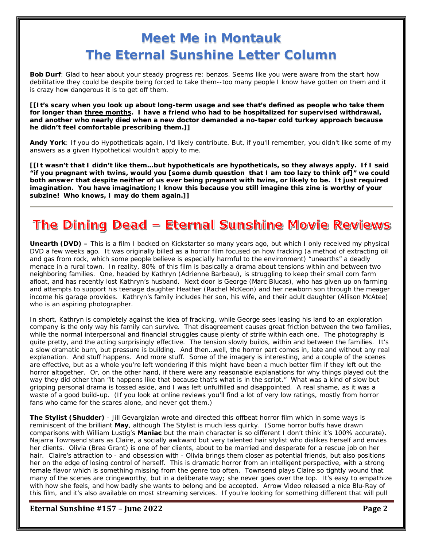# **Meet Me in Montauk The Eternal Sunshine Letter Column**

**Bob Durf**: Glad to hear about your steady progress re: benzos. Seems like you were aware from the start how debilitative they could be despite being forced to take them--too many people I know have gotten on them and it is crazy how dangerous it is to get *off* them.

*[[It's scary when you look up about long-term usage and see that's defined as people who take them for longer than three months. I have a friend who had to be hospitalized for supervised withdrawal, and another who nearly died when a new doctor demanded a no-taper cold turkey approach because he didn't feel comfortable prescribing them.]]*

**Andy York**: If you do Hypotheticals again, I'd likely contribute. But, if you'll remember, you didn't like some of my answers as a given Hypothetical wouldn't apply to me.

*[[It wasn't that I didn't like them…but hypotheticals are hypotheticals, so they always apply. If I said "if you pregnant with twins, would you [some dumb question that I am too lazy to think of]" we could both answer that despite neither of us ever being pregnant with twins, or likely to be. It just required imagination. You have imagination; I know this because you still imagine this zine is worthy of your subzine! Who knows, I may do them again.]]* 

# The Dining Dead - Eternal Sunshine Movie Reviews

**Unearth (DVD) –** This is a film I backed on Kickstarter so many years ago, but which I only received my physical DVD a few weeks ago. It was originally billed as a horror film focused on how fracking (a method of extracting oil and gas from rock, which some people believe is especially harmful to the environment) "unearths" a deadly menace in a rural town. In reality, 80% of this film is basically a drama about tensions within and between two neighboring families. One, headed by Kathryn (Adrienne Barbeau), is struggling to keep their small corn farm afloat, and has recently lost Kathryn's husband. Next door is George (Marc Blucas), who has given up on farming and attempts to support his teenage daughter Heather (Rachel McKeon) and her newborn son through the meager income his garage provides. Kathryn's family includes her son, his wife, and their adult daughter (Allison McAtee) who is an aspiring photographer.

In short, Kathryn is completely against the idea of fracking, while George sees leasing his land to an exploration company is the only way his family can survive. That disagreement causes great friction between the two families, while the normal interpersonal and financial struggles cause plenty of strife within each one. The photography is quite pretty, and the acting surprisingly effective. The tension slowly builds, within and between the families. It's a slow dramatic burn, but pressure is building. And then…well, the horror part comes in, late and without any real explanation. And stuff happens. And more stuff. Some of the imagery is interesting, and a couple of the scenes are effective, but as a whole you're left wondering if this might have been a much better film if they left out the horror altogether. Or, on the other hand, if there were any reasonable explanations for why things played out the way they did other than "it happens like that because that's what is in the script." What was a kind of slow but gripping personal drama is tossed aside, and I was left unfulfilled and disappointed. A real shame, as it was a waste of a good build-up. (If you look at online reviews you'll find a lot of very low ratings, mostly from horror fans who came for the scares alone, and never got them.)

**The Stylist (Shudder)** - Jill Gevargizian wrote and directed this offbeat horror film which in some ways is reminiscent of the brilliant **May**, although The Stylist is much less quirky. (Some horror buffs have drawn comparisons with William Lustig's **Maniac** but the main character is so different I don't think it's 100% accurate). Najarra Townsend stars as Claire, a socially awkward but very talented hair stylist who dislikes herself and envies her clients. Olivia (Brea Grant) is one of her clients, about to be married and desperate for a rescue job on her hair. Claire's attraction to - and obsession with - Olivia brings them closer as potential friends, but also positions her on the edge of losing control of herself. This is dramatic horror from an intelligent perspective, with a strong female flavor which is something missing from the genre too often. Townsend plays Claire so tightly wound that many of the scenes are cringeworthy, but in a deliberate way; she never goes over the top. It's easy to empathize with how she feels, and how badly she wants to belong and be accepted. Arrow Video released a nice Blu-Ray of this film, and it's also available on most streaming services. If you're looking for something different that will pull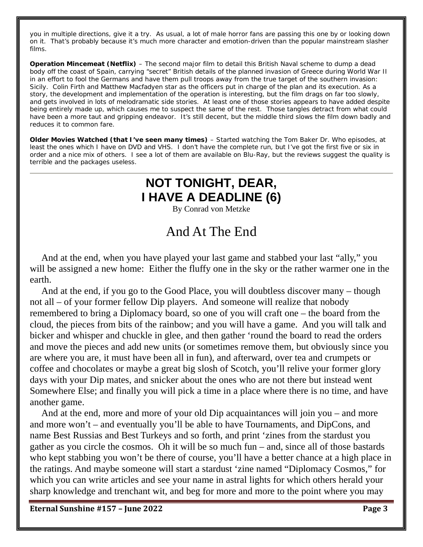you in multiple directions, give it a try. As usual, a lot of male horror fans are passing this one by or looking down on it. That's probably because it's much more character and emotion-driven than the popular mainstream slasher films.

**Operation Mincemeat (Netflix)** – The second major film to detail this British Naval scheme to dump a dead body off the coast of Spain, carrying "secret" British details of the planned invasion of Greece during World War II in an effort to fool the Germans and have them pull troops away from the true target of the southern invasion: Sicily. Colin Firth and Matthew Macfadyen star as the officers put in charge of the plan and its execution. As a story, the development and implementation of the operation is interesting, but the film drags on far too slowly, and gets involved in lots of melodramatic side stories. At least one of those stories appears to have added despite being entirely made up, which causes me to suspect the same of the rest. Those tangles detract from what could have been a more taut and gripping endeavor. It's still decent, but the middle third slows the film down badly and reduces it to common fare.

**Older Movies Watched (that I've seen many times)** – Started watching the Tom Baker Dr. Who episodes, at least the ones which I have on DVD and VHS. I don't have the complete run, but I've got the first five or six in order and a nice mix of others. I see a lot of them are available on Blu-Ray, but the reviews suggest the quality is terrible and the packages useless.

# **NOT TONIGHT, DEAR, I HAVE A DEADLINE (6)**

By Conrad von Metzke

# And At The End

 And at the end, when you have played your last game and stabbed your last "ally," you will be assigned a new home: Either the fluffy one in the sky or the rather warmer one in the earth.

 And at the end, if you go to the Good Place, you will doubtless discover many – though not all – of your former fellow Dip players. And someone will realize that nobody remembered to bring a Diplomacy board, so one of you will craft one – the board from the cloud, the pieces from bits of the rainbow; and you will have a game. And you will talk and bicker and whisper and chuckle in glee, and then gather 'round the board to read the orders and move the pieces and add new units (or sometimes remove them, but obviously since you are where you are, it must have been all in fun), and afterward, over tea and crumpets or coffee and chocolates or maybe a great big slosh of Scotch, you'll relive your former glory days with your Dip mates, and snicker about the ones who are not there but instead went Somewhere Else; and finally you will pick a time in a place where there is no time, and have another game.

 And at the end, more and more of your old Dip acquaintances will join you – and more and more won't – and eventually you'll be able to have Tournaments, and DipCons, and name Best Russias and Best Turkeys and so forth, and print 'zines from the stardust you gather as you circle the cosmos. Oh it will be so much fun – and, since all of those bastards who kept stabbing you won't be there of course, you'll have a better chance at a high place in the ratings. And maybe someone will start a stardust 'zine named "Diplomacy Cosmos," for which you can write articles and see your name in astral lights for which others herald your sharp knowledge and trenchant wit, and beg for more and more to the point where you may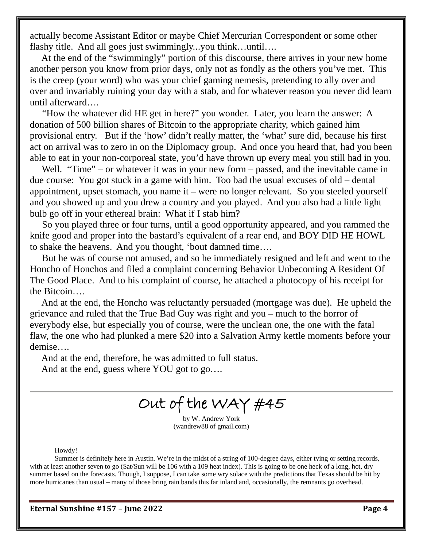actually become Assistant Editor or maybe Chief Mercurian Correspondent or some other flashy title. And all goes just swimmingly...you think…until….

 At the end of the "swimmingly" portion of this discourse, there arrives in your new home another person you know from prior days, only not as fondly as the others you've met. This is the creep (your word) who was your chief gaming nemesis, pretending to ally over and over and invariably ruining your day with a stab, and for whatever reason you never did learn until afterward….

 "How the whatever did HE get in here?" you wonder. Later, you learn the answer: A donation of 500 billion shares of Bitcoin to the appropriate charity, which gained him provisional entry. But if the 'how' didn't really matter, the 'what' sure did, because his first act on arrival was to zero in on the Diplomacy group. And once you heard that, had you been able to eat in your non-corporeal state, you'd have thrown up every meal you still had in you.

Well. "Time" – or whatever it was in your new form – passed, and the inevitable came in due course: You got stuck in a game with him. Too bad the usual excuses of old – dental appointment, upset stomach, you name it – were no longer relevant. So you steeled yourself and you showed up and you drew a country and you played. And you also had a little light bulb go off in your ethereal brain: What if I stab him?

 So you played three or four turns, until a good opportunity appeared, and you rammed the knife good and proper into the bastard's equivalent of a rear end, and BOY DID HE HOWL to shake the heavens. And you thought, 'bout damned time….

 But he was of course not amused, and so he immediately resigned and left and went to the Honcho of Honchos and filed a complaint concerning Behavior Unbecoming A Resident Of The Good Place. And to his complaint of course, he attached a photocopy of his receipt for the Bitcoin….

 And at the end, the Honcho was reluctantly persuaded (mortgage was due). He upheld the grievance and ruled that the True Bad Guy was right and you – much to the horror of everybody else, but especially you of course, were the unclean one, the one with the fatal flaw, the one who had plunked a mere \$20 into a Salvation Army kettle moments before your demise….

And at the end, therefore, he was admitted to full status.

And at the end, guess where YOU got to go….

Out of the WAY #45

by W. Andrew York (wandrew88 of gmail.com)

Howdy!

Summer is definitely here in Austin. We're in the midst of a string of 100-degree days, either tying or setting records, with at least another seven to go (Sat/Sun will be 106 with a 109 heat index). This is going to be one heck of a long, hot, dry summer based on the forecasts. Though, I suppose, I can take some wry solace with the predictions that Texas should be hit by more hurricanes than usual – many of those bring rain bands this far inland and, occasionally, the remnants go overhead.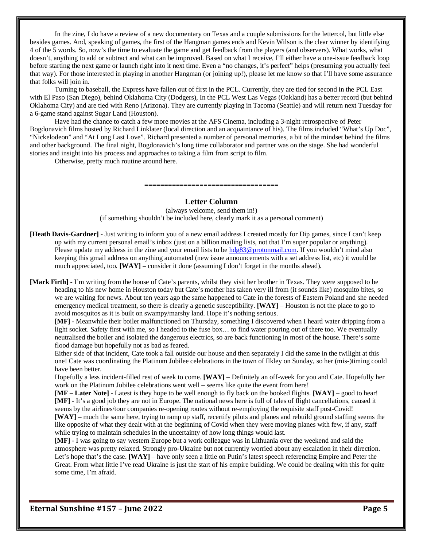In the zine, I do have a review of a new documentary on Texas and a couple submissions for the lettercol, but little else besides games. And, speaking of games, the first of the Hangman games ends and Kevin Wilson is the clear winner by identifying 4 of the 5 words. So, now's the time to evaluate the game and get feedback from the players (and observers). What works, what doesn't, anything to add or subtract and what can be improved. Based on what I receive, I'll either have a one-issue feedback loop before starting the next game or launch right into it next time. Even a "no changes, it's perfect" helps (presuming you actually feel that way). For those interested in playing in another Hangman (or joining up!), please let me know so that I'll have some assurance that folks will join in.

Turning to baseball, the Express have fallen out of first in the PCL. Currently, they are tied for second in the PCL East with El Paso (San Diego), behind Oklahoma City (Dodgers), In the PCL West Las Vegas (Oakland) has a better record (but behind Oklahoma City) and are tied with Reno (Arizona). They are currently playing in Tacoma (Seattle) and will return next Tuesday for a 6-game stand against Sugar Land (Houston).

Have had the chance to catch a few more movies at the AFS Cinema, including a 3-night retrospective of Peter Bogdonavich films hosted by Richard Linklater (local direction and an acquaintance of his). The films included "What's Up Doc", "Nickelodeon" and "At Long Last Love". Richard presented a number of personal memories, a bit of the mindset behind the films and other background. The final night, Bogdonavich's long time collaborator and partner was on the stage. She had wonderful stories and insight into his process and approaches to taking a film from script to film.

Otherwise, pretty much routine around here.

**==================================**

#### **Letter Column**

(always welcome, send them in!) (if something shouldn't be included here, clearly mark it as a personal comment)

- **[Heath Davis-Gardner]** Just writing to inform you of a new email address I created mostly for Dip games, since I can't keep up with my current personal email's inbox (just on a billion mailing lists, not that I'm super popular or anything). Please update my address in the zine and your email lists to b[e hdg83@protonmail.com.](mailto:hdg83@protonmail.com) If you wouldn't mind also keeping this gmail address on anything automated (new issue announcements with a set address list, etc) it would be much appreciated, too. **[WAY]** – consider it done (assuming I don't forget in the months ahead).
- **[Mark Firth]** I'm writing from the house of Cate's parents, whilst they visit her brother in Texas. They were supposed to be heading to his new home in Houston today but Cate's mother has taken very ill from (it sounds like) mosquito bites, so we are waiting for news. About ten years ago the same happened to Cate in the forests of Eastern Poland and she needed emergency medical treatment, so there is clearly a genetic susceptibility. **[WAY]** – Houston is not the place to go to avoid mosquitos as it is built on swampy/marshy land. Hope it's nothing serious.

**[MF]** - Meanwhile their boiler malfunctioned on Thursday, something I discovered when I heard water dripping from a light socket. Safety first with me, so I headed to the fuse box… to find water pouring out of there too. We eventually neutralised the boiler and isolated the dangerous electrics, so are back functioning in most of the house. There's some flood damage but hopefully not as bad as feared.

Either side of that incident, Cate took a fall outside our house and then separately I did the same in the twilight at this one! Cate was coordinating the Platinum Jubilee celebrations in the town of Ilkley on Sunday, so her (mis-)timing could have been better.

Hopefully a less incident-filled rest of week to come. **[WAY]** – Definitely an off-week for you and Cate. Hopefully her work on the Platinum Jubilee celebrations went well – seems like quite the event from here!

**[MF – Later Note]** - Latest is they hope to be well enough to fly back on the booked flights. **[WAY]** – good to hear! **[MF]** - It's a good job they are not in Europe. The national news here is full of tales of flight cancellations, caused it seems by the airlines/tour companies re-opening routes without re-employing the requisite staff post-Covid!

**[WAY]** – much the same here, trying to ramp up staff, recertify pilots and planes and rebuild ground staffing seems the like opposite of what they dealt with at the beginning of Covid when they were moving planes with few, if any, staff while trying to maintain schedules in the uncertainty of how long things would last.

**[MF]** - I was going to say western Europe but a work colleague was in Lithuania over the weekend and said the atmosphere was pretty relaxed. Strongly pro-Ukraine but not currently worried about any escalation in their direction. Let's hope that's the case. **[WAY]** – have only seen a little on Putin's latest speech referencing Empire and Peter the Great. From what little I've read Ukraine is just the start of his empire building. We could be dealing with this for quite some time, I'm afraid.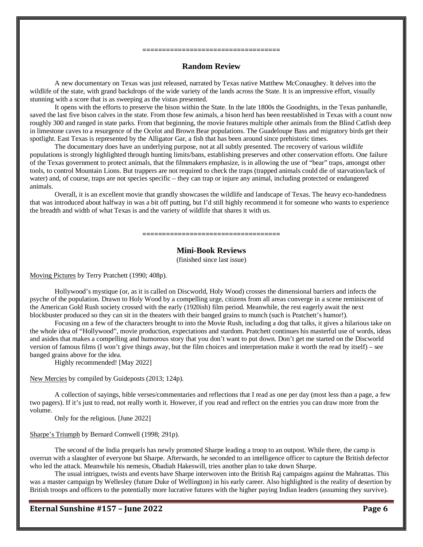# **===================================**

# **Random Review**

A new documentary on Texas was just released, narrated by Texas native Matthew McConaughey. It delves into the wildlife of the state, with grand backdrops of the wide variety of the lands across the State. It is an impressive effort, visually stunning with a score that is as sweeping as the vistas presented.

It opens with the efforts to preserve the bison within the State. In the late 1800s the Goodnights, in the Texas panhandle, saved the last five bison calves in the state. From those few animals, a bison herd has been reestablished in Texas with a count now roughly 300 and ranged in state parks. From that beginning, the movie features multiple other animals from the Blind Catfish deep in limestone caves to a resurgence of the Ocelot and Brown Bear populations. The Guadeloupe Bass and migratory birds get their spotlight. East Texas is represented by the Alligator Gar, a fish that has been around since prehistoric times.

The documentary does have an underlying purpose, not at all subtly presented. The recovery of various wildlife populations is strongly highlighted through hunting limits/bans, establishing preserves and other conservation efforts. One failure of the Texas government to protect animals, that the filmmakers emphasize, is in allowing the use of "bear" traps, amongst other tools, to control Mountain Lions. But trappers are not required to check the traps (trapped animals could die of starvation/lack of water) and, of course, traps are not species specific – they can trap or injure any animal, including protected or endangered animals.

Overall, it is an excellent movie that grandly showcases the wildlife and landscape of Texas. The heavy eco-handedness that was introduced about halfway in was a bit off putting, but I'd still highly recommend it for someone who wants to experience the breadth and width of what Texas is and the variety of wildlife that shares it with us.

#### **===================================**

### **Mini-Book Reviews**

(finished since last issue)

Moving Pictures by Terry Pratchett (1990; 408p).

Hollywood's mystique (or, as it is called on Discworld, Holy Wood) crosses the dimensional barriers and infects the psyche of the population. Drawn to Holy Wood by a compelling urge, citizens from all areas converge in a scene reminiscent of the American Gold Rush society crossed with the early (1920ish) film period. Meanwhile, the rest eagerly await the next blockbuster produced so they can sit in the theaters with their banged grains to munch (such is Pratchett's humor!).

Focusing on a few of the characters brought to into the Movie Rush, including a dog that talks, it gives a hilarious take on the whole idea of "Hollywood", movie production, expectations and stardom. Pratchett continues his masterful use of words, ideas and asides that makes a compelling and humorous story that you don't want to put down. Don't get me started on the Discworld version of famous films (I won't give things away, but the film choices and interpretation make it worth the read by itself) – see banged grains above for the idea.

Highly recommended! [May 2022]

New Mercies by compiled by Guideposts (2013; 124p).

A collection of sayings, bible verses/commentaries and reflections that I read as one per day (most less than a page, a few two pagers). If it's just to read, not really worth it. However, if you read and reflect on the entries you can draw more from the volume.

Only for the religious. [June 2022]

#### Sharpe's Triumph by Bernard Cornwell (1998; 291p).

The second of the India prequels has newly promoted Sharpe leading a troop to an outpost. While there, the camp is overrun with a slaughter of everyone but Sharpe. Afterwards, he seconded to an intelligence officer to capture the British defector who led the attack. Meanwhile his nemesis, Obadiah Hakeswill, tries another plan to take down Sharpe.

The usual intrigues, twists and events have Sharpe interwoven into the British Raj campaigns against the Mahrattas. This was a master campaign by Wellesley (future Duke of Wellington) in his early career. Also highlighted is the reality of desertion by British troops and officers to the potentially more lucrative futures with the higher paying Indian leaders (assuming they survive).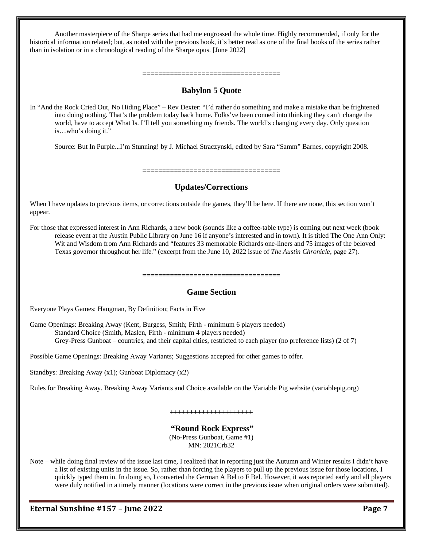Another masterpiece of the Sharpe series that had me engrossed the whole time. Highly recommended, if only for the historical information related; but, as noted with the previous book, it's better read as one of the final books of the series rather than in isolation or in a chronological reading of the Sharpe opus. [June 2022]

## **Babylon 5 Quote**

**===================================**

In "And the Rock Cried Out, No Hiding Place" – Rev Dexter: "I'd rather do something and make a mistake than be frightened into doing nothing. That's the problem today back home. Folks've been conned into thinking they can't change the world, have to accept What Is. I'll tell you something my friends. The world's changing every day. Only question is…who's doing it."

Source: But In Purple...I'm Stunning! by J. Michael Straczynski, edited by Sara "Samm" Barnes, copyright 2008.

**=================================== Updates/Corrections**

When I have updates to previous items, or corrections outside the games, they'll be here. If there are none, this section won't appear.

For those that expressed interest in Ann Richards, a new book (sounds like a coffee-table type) is coming out next week (book release event at the Austin Public Library on June 16 if anyone's interested and in town). It is titled The One Ann Only: Wit and Wisdom from Ann Richards and "features 33 memorable Richards one-liners and 75 images of the beloved Texas governor throughout her life." (excerpt from the June 10, 2022 issue of *The Austin Chronicle*, page 27).

**===================================**

## **Game Section**

Everyone Plays Games: Hangman, By Definition; Facts in Five

Game Openings: Breaking Away (Kent, Burgess, Smith; Firth - minimum 6 players needed) Standard Choice (Smith, Maslen, Firth - minimum 4 players needed) Grey-Press Gunboat – countries, and their capital cities, restricted to each player (no preference lists) (2 of 7)

Possible Game Openings: Breaking Away Variants; Suggestions accepted for other games to offer.

Standbys: Breaking Away (x1); Gunboat Diplomacy (x2)

Rules for Breaking Away. Breaking Away Variants and Choice available on the Variable Pig website (variablepig.org)

**+++++++++++++++++++++**

### **"Round Rock Express"**

(No-Press Gunboat, Game #1) MN: 2021Crb32

Note – while doing final review of the issue last time, I realized that in reporting just the Autumn and Winter results I didn't have a list of existing units in the issue. So, rather than forcing the players to pull up the previous issue for those locations, I quickly typed them in. In doing so, I converted the German A Bel to F Bel. However, it was reported early and all players were duly notified in a timely manner (locations were correct in the previous issue when original orders were submitted).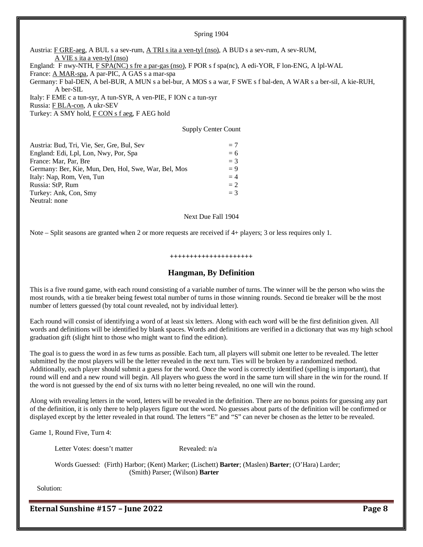#### Spring 1904

Austria: F GRE-aeg, A BUL s a sev-rum, A TRI s ita a ven-tyl (nso), A BUD s a sev-rum, A sev-RUM, A VIE s ita a ven-tyl (nso) England: F nwy-NTH, F SPA(NC) s fre a par-gas (nso), F POR s f spa(nc), A edi-YOR, F lon-ENG, A lpl-WAL France: A MAR-spa, A par-PIC, A GAS s a mar-spa Germany: F bal-DEN, A bel-BUR, A MUN s a bel-bur, A MOS s a war, F SWE s f bal-den, A WAR s a ber-sil, A kie-RUH, A ber-SIL Italy: F EME c a tun-syr, A tun-SYR, A ven-PIE, F ION c a tun-syr Russia: F BLA-con, A ukr-SEV Turkey: A SMY hold, F CON s f aeg, F AEG hold

Supply Center Count

| Austria: Bud, Tri, Vie, Ser, Gre, Bul, Sev           | $=7$  |
|------------------------------------------------------|-------|
| England: Edi, Lpl, Lon, Nwy, Por, Spa                | $= 6$ |
| France: Mar, Par, Bre                                | $=$ 3 |
| Germany: Ber, Kie, Mun, Den, Hol, Swe, War, Bel, Mos | $= 9$ |
| Italy: Nap, Rom, Ven, Tun                            | $=4$  |
| Russia: StP, Rum                                     | $= 2$ |
| Turkey: Ank, Con, Smy                                | $=$ 3 |
| Neutral: none                                        |       |

#### Next Due Fall 1904

Note – Split seasons are granted when 2 or more requests are received if 4+ players; 3 or less requires only 1.

#### **+++++++++++++++++++++**

### **Hangman, By Definition**

This is a five round game, with each round consisting of a variable number of turns. The winner will be the person who wins the most rounds, with a tie breaker being fewest total number of turns in those winning rounds. Second tie breaker will be the most number of letters guessed (by total count revealed, not by individual letter).

Each round will consist of identifying a word of at least six letters. Along with each word will be the first definition given. All words and definitions will be identified by blank spaces. Words and definitions are verified in a dictionary that was my high school graduation gift (slight hint to those who might want to find the edition).

The goal is to guess the word in as few turns as possible. Each turn, all players will submit one letter to be revealed. The letter submitted by the most players will be the letter revealed in the next turn. Ties will be broken by a randomized method. Additionally, each player should submit a guess for the word. Once the word is correctly identified (spelling is important), that round will end and a new round will begin. All players who guess the word in the same turn will share in the win for the round. If the word is not guessed by the end of six turns with no letter being revealed, no one will win the round.

Along with revealing letters in the word, letters will be revealed in the definition. There are no bonus points for guessing any part of the definition, it is only there to help players figure out the word. No guesses about parts of the definition will be confirmed or displayed except by the letter revealed in that round. The letters "E" and "S" can never be chosen as the letter to be revealed.

Game 1, Round Five, Turn 4:

Letter Votes: doesn't matter Revealed: n/a

Words Guessed: (Firth) Harbor; (Kent) Marker; (Lischett) **Barter**; (Maslen) **Barter**; (O'Hara) Larder; (Smith) Parser; (Wilson) **Barter**

Solution: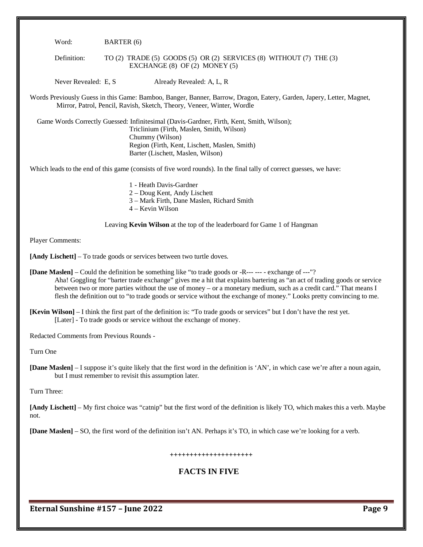Word: BARTER (6)

Definition: TO (2) TRADE (5) GOODS (5) OR (2) SERVICES (8) WITHOUT (7) THE (3) EXCHANGE (8) OF (2) MONEY (5)

Never Revealed: E, S Already Revealed: A, L, R

Words Previously Guess in this Game: Bamboo, Banger, Banner, Barrow, Dragon, Eatery, Garden, Japery, Letter, Magnet, Mirror, Patrol, Pencil, Ravish, Sketch, Theory, Veneer, Winter, Wordle

 Game Words Correctly Guessed: Infinitesimal (Davis-Gardner, Firth, Kent, Smith, Wilson); Triclinium (Firth, Maslen, Smith, Wilson) Chummy (Wilson) Region (Firth, Kent, Lischett, Maslen, Smith) Barter (Lischett, Maslen, Wilson)

Which leads to the end of this game (consists of five word rounds). In the final tally of correct guesses, we have:

1 - Heath Davis-Gardner 2 – Doug Kent, Andy Lischett 3 – Mark Firth, Dane Maslen, Richard Smith

4 – Kevin Wilson

Leaving **Kevin Wilson** at the top of the leaderboard for Game 1 of Hangman

Player Comments:

**[Andy Lischett]** – To trade goods or services between two turtle doves.

**[Dane Maslen]** – Could the definition be something like "to trade goods or -R--- --- - exchange of ---"? Aha! Goggling for "barter trade exchange" gives me a hit that explains bartering as "an act of trading goods or service between two or more parties without the use of money – or a monetary medium, such as a credit card." That means I flesh the definition out to "to trade goods or service without the exchange of money." Looks pretty convincing to me.

Redacted Comments from Previous Rounds -

Turn One

**[Dane Maslen]** – I suppose it's quite likely that the first word in the definition is 'AN', in which case we're after a noun again, but I must remember to revisit this assumption later.

Turn Three:

**[Andy Lischett]** – My first choice was "catnip" but the first word of the definition is likely TO, which makes this a verb. Maybe not.

**[Dane Maslen]** – SO, the first word of the definition isn't AN. Perhaps it's TO, in which case we're looking for a verb.

#### **+++++++++++++++++++++**

# **FACTS IN FIVE**

**<sup>[</sup>Kevin Wilson]** – I think the first part of the definition is: "To trade goods or services" but I don't have the rest yet. [Later] - To trade goods or service without the exchange of money.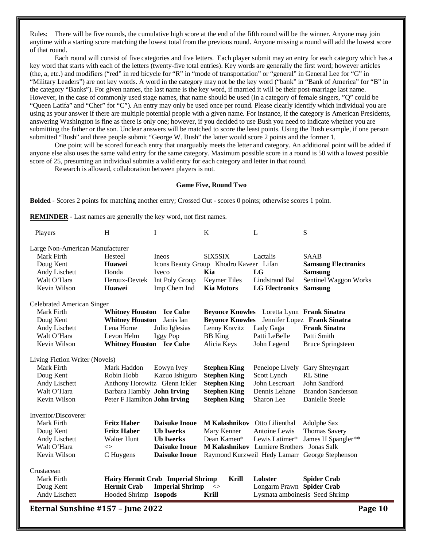Rules: There will be five rounds, the cumulative high score at the end of the fifth round will be the winner. Anyone may join anytime with a starting score matching the lowest total from the previous round. Anyone missing a round will add the lowest score of that round.

Each round will consist of five categories and five letters. Each player submit may an entry for each category which has a key word that starts with each of the letters (twenty-five total entries). Key words are generally the first word; however articles (the, a, etc.) and modifiers ("red" in red bicycle for "R" in "mode of transportation" or "general" in General Lee for "G" in "Military Leaders") are not key words. A word in the category may not be the key word ("bank" in "Bank of America" for "B" in the category "Banks"). For given names, the last name is the key word, if married it will be their post-marriage last name. However, in the case of commonly used stage names, that name should be used (in a category of female singers, "Q" could be "Queen Latifa" and "Cher" for "C"). An entry may only be used once per round. Please clearly identify which individual you are using as your answer if there are multiple potential people with a given name. For instance, if the category is American Presidents, answering Washington is fine as there is only one; however, if you decided to use Bush you need to indicate whether you are submitting the father or the son. Unclear answers will be matched to score the least points. Using the Bush example, if one person submitted "Bush" and three people submit "George W. Bush" the latter would score 2 points and the former 1.

One point will be scored for each entry that unarguably meets the letter and category. An additional point will be added if anyone else also uses the same valid entry for the same category. Maximum possible score in a round is 50 with a lowest possible score of 25, presuming an individual submits a valid entry for each category and letter in that round.

Research is allowed, collaboration between players is not.

#### **Game Five, Round Two**

**Bolded** - Scores 2 points for matching another entry; Crossed Out - scores 0 points; otherwise scores 1 point.

**REMINDER** - Last names are generally the key word, not first names.

| Players                         | H                               | I                                 | K                                      | L                                          | S                                              |
|---------------------------------|---------------------------------|-----------------------------------|----------------------------------------|--------------------------------------------|------------------------------------------------|
| Large Non-American Manufacturer |                                 |                                   |                                        |                                            |                                                |
| Mark Firth                      | Hesteel                         | Ineos                             | SIX5SIX                                | Lactalis                                   | <b>SAAB</b>                                    |
| Doug Kent                       | Huawei                          |                                   | Icons Beauty Group Khodro Kaveer Lifan |                                            | <b>Samsung Electronics</b>                     |
| Andy Lischett                   | Honda                           | Iveco                             | Kia                                    | LG                                         | <b>Samsung</b>                                 |
| Walt O'Hara                     | Heroux-Devtek                   | Int Poly Group                    | <b>Keymer Tiles</b>                    | Lindstrand Bal                             | Sentinel Waggon Works                          |
| Kevin Wilson                    | Huawei                          | Imp Chem Ind                      | <b>Kia Motors</b>                      | <b>LG</b> Electronics                      | <b>Samsung</b>                                 |
| Celebrated American Singer      |                                 |                                   |                                        |                                            |                                                |
| Mark Firth                      | <b>Whitney Houston</b> Ice Cube |                                   |                                        | Beyonce Knowles Loretta Lynn Frank Sinatra |                                                |
| Doug Kent                       | <b>Whitney Houston</b>          | Janis Ian                         | <b>Beyonce Knowles</b>                 |                                            | Jennifer Lopez Frank Sinatra                   |
| Andy Lischett                   | Lena Horne                      | Julio Iglesias                    | Lenny Kravitz                          | Lady Gaga                                  | <b>Frank Sinatra</b>                           |
| Walt O'Hara                     | Levon Helm                      | Iggy Pop                          | <b>BB</b> King                         | Patti LeBelle                              | Patti Smith                                    |
| Kevin Wilson                    | <b>Whitney Houston</b> Ice Cube |                                   | Alicia Keys                            | John Legend                                | <b>Bruce Springsteen</b>                       |
| Living Fiction Writer (Novels)  |                                 |                                   |                                        |                                            |                                                |
| Mark Firth                      | Mark Haddon                     | Eowyn Ivey                        | <b>Stephen King</b>                    | Penelope Lively                            | Gary Shteyngart                                |
| Doug Kent                       | Robin Hobb                      | Kazuo Ishiguro                    | <b>Stephen King</b>                    | Scott Lynch                                | <b>RL</b> Stine                                |
| Andy Lischett                   | Anthony Horowitz Glenn Ickler   |                                   | <b>Stephen King</b>                    | John Lescroart                             | John Sandford                                  |
| Walt O'Hara                     | Barbara Hambly John Irving      |                                   | <b>Stephen King</b>                    | Dennis Lehane                              | <b>Brandon Sanderson</b>                       |
| Kevin Wilson                    | Peter F Hamilton John Irving    |                                   | <b>Stephen King</b>                    | Sharon Lee                                 | Danielle Steele                                |
| Inventor/Discoverer             |                                 |                                   |                                        |                                            |                                                |
| Mark Firth                      | <b>Fritz Haber</b>              | <b>Daisuke Inoue</b>              | M Kalashnikov Otto Lilienthal          |                                            | Adolphe Sax                                    |
| Doug Kent                       | <b>Fritz Haber</b>              | <b>Ub</b> Iwerks                  | Mary Kenner                            | Antoine Lewis                              | <b>Thomas Savery</b>                           |
| Andy Lischett                   | <b>Walter Hunt</b>              | <b>Ub Iwerks</b>                  | Dean Kamen*                            | Lewis Latimer*                             | James H Spangler**                             |
| Walt O'Hara                     | $\Leftrightarrow$               | <b>Daisuke Inoue</b>              |                                        | M Kalashnikov Lumiere Brothers Jonas Salk  |                                                |
| Kevin Wilson                    | C Huygens                       | <b>Daisuke Inoue</b>              |                                        |                                            | Raymond Kurzweil Hedy Lamarr George Stephenson |
| Crustacean                      |                                 |                                   |                                        |                                            |                                                |
| Mark Firth                      |                                 | Hairy Hermit Crab Imperial Shrimp | Krill                                  | Lobster                                    | <b>Spider Crab</b>                             |
| Doug Kent                       | <b>Hermit Crab</b>              | <b>Imperial Shrimp</b>            | $\mathord{<}$                          | Longarm Prawn Spider Crab                  |                                                |
| Andy Lischett                   | Hooded Shrimp Isopods           |                                   | Krill                                  |                                            | Lysmata amboinesis Seed Shrimp                 |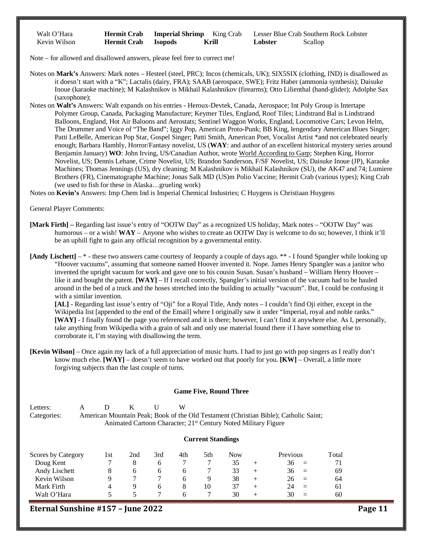| Walt O'Hara  | <b>Hermit Crab</b> | <b>Imperial Shrimp</b> King Crab |       | Lesser Blue Crab Souther |         |
|--------------|--------------------|----------------------------------|-------|--------------------------|---------|
| Kevin Wilson | <b>Hermit Crab</b> | <b>Isopods</b>                   | Krill | Lobster                  | Scallop |

Crab Southern Rock Lobster

Note – for allowed and disallowed answers, please feel free to correct me!

Notes on **Mark's** Answers: Mark notes – Hesteel (steel, PRC); Incos (chemicals, UK); SIX5SIX (clothing, IND) is disallowed as it doesn't start with a "K"; Lactalis (dairy, FRA); SAAB (aerospace, SWE); Fritz Haber (ammonia synthesis); Daisuke Inoue (karaoke machine); M Kalashnikov is Mikhail Kalashnikov (firearms); Otto Lilienthal (hand-glider); Adolphe Sax (saxophone);

Notes on **Walt's** Answers: Walt expands on his entries - Heroux-Devtek, Canada, Aerospace; Int Poly Group is Intertape Polymer Group, Canada, Packaging Manufacture; Keymer Tiles, England, Roof Tiles; Lindstrand Bal is Lindstrand Balloons, England, Hot Air Baloons and Aerostats; Sentinel Waggon Works, England, Locomotive Cars; Levon Helm, The Drummer and Voice of "The Band"; Iggy Pop, American Proto-Punk; BB King, lengendary American Blues Singer; Patti LeBelle, American Pop Star, Gospel Singer; Patti Smith, American Poet, Vocalist Artist \*and not celebrated nearly enough; Barbara Hambly, Horror/Fantasy novelist, US (**WAY**: and author of an excellent historical mystery series around Benjamin January) **WO**: John Irving, US/Canadian Author, wrote World According to Garp; Stephen King, Horror Novelist, US; Dennis Lehane, Crime Novelist, US; Brandon Sanderson, F/SF Novelist, US; Daisuke Inoue (JP), Karaoke Machines; Thomas Jennings (US), dry cleaning; M Kalashnikov is Mikhail Kalashnikov (SU), the AK47 and 74; Lumiere Brothers (FR), Cinematographe Machine; Jonas Salk MD (US)m Polio Vaccine; Hermit Crab (various types); King Crab (we used to fish for these in Alaska…grueling work)

Notes on **Kevin's** Answers: Imp Chem Ind is Imperial Chemical Industries; C Huygens is Christiaan Huygens

General Player Comments:

**[Mark Firth] –** Regarding last issue's entry of "OOTW Day" as a recognized US holiday, Mark notes – "OOTW Day" was humorous – or a wish! **WAY** – Anyone who wishes to create an OOTW Day is welcome to do so; however, I think it'll be an uphill fight to gain any official recognition by a governmental entity.

**[Andy Lischett]** – \* - these two answers came courtesy of Jeopardy a couple of days ago. \*\* - I found Spangler while looking up "Hoover vacuums", assuming that someone named Hoover invented it. Nope. James Henry Spangler was a janitor who invented the upright vacuum for work and gave one to his cousin Susan. Susan's husband – William Henry Hoover – like it and bought the patent. **[WAY]** – If I recall correctly, Spangler's initial version of the vacuum had to be hauled around in the bed of a truck and the hoses stretched into the building to actually "vacuum". But, I could be confusing it with a similar invention.

**[AL]** - Regarding last issue's entry of "Oji" for a Royal Title, Andy notes – I couldn't find Oji either, except in the Wikipedia list [appended to the end of the Email] where I originally saw it under "Imperial, royal and noble ranks." **[WAY]** - I finally found the page you referenced and it is there; however, I can't find it anywhere else. As I, personally, take anything from Wikipedia with a grain of salt and only use material found there if I have something else to corroborate it, I'm staying with disallowing the term.

**[Kevin Wilson]** – Once again my lack of a full appreciation of music hurts. I had to just go with pop singers as I really don't know much else. **[WAY]** – doesn't seem to have worked out that poorly for you. **[KW]** – Overall, a little more forgiving subjects than the last couple of turns.

#### **Game Five, Round Three**

Letters: A D K U Categories: American Mountain Peak; Book of the Old Testament (Christian Bible); Catholic Saint; Animated Cartoon Character; 21<sup>st</sup> Century Noted Military Figure

#### **Current Standings**

| Scores by Category | 1st | 2nd | 3rd | 4th | 5th | Now |       | Previous       | Total |
|--------------------|-----|-----|-----|-----|-----|-----|-------|----------------|-------|
| Doug Kent          |     |     |     |     |     |     | $\pm$ | 36<br>$\equiv$ | 71    |
| Andy Lischett      |     | o   |     |     |     | 33  | $\pm$ | 36<br>$=$      | 69    |
| Kevin Wilson       |     |     |     |     |     | 38  |       | 26<br>$=$      | 64    |
| Mark Firth         |     |     |     |     | 10  | 37  |       | 24<br>$=$      | 61    |
| Walt O'Hara        |     |     |     |     |     | 30  | $\pm$ | 30<br>$\equiv$ | 60    |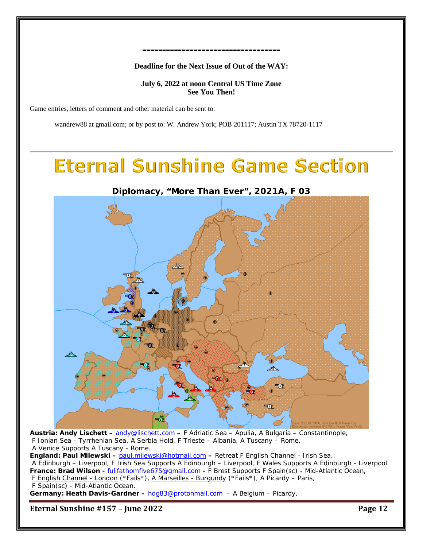#### **===================================**

### **Deadline for the Next Issue of Out of the WAY:**

# **July 6, 2022 at noon Central US Time Zone See You Then!**

Game entries, letters of comment and other material can be sent to:

wandrew88 at gmail.com; or by post to: W. Andrew York; POB 201117; Austin TX 78720-1117

# **Eternal Sunshine Game Section**



**Austria: Andy Lischett –** [andy@lischett.com](mailto:andy@lischett.com) **–** F Adriatic Sea – Apulia, A Bulgaria – Constantinople, F Ionian Sea - Tyrrhenian Sea, A Serbia Hold, F Trieste – Albania, A Tuscany – Rome, A Venice Supports A Tuscany - Rome.

**England: Paul Milewski –** [paul.milewski@hotmail.com](mailto:paul.milewski@hotmail.com) **–** Retreat F English Channel - Irish Sea..

A Edinburgh – Liverpool, F Irish Sea Supports A Edinburgh – Liverpool, F Wales Supports A Edinburgh - Liverpool. **France: Brad Wilson -** [fullfathomfive675@gmail.com](mailto:fullfathomfive675@gmail.com) **-** F Brest Supports F Spain(sc) - Mid-Atlantic Ocean, F English Channel - London (\*Fails\*), A Marseilles - Burgundy (\*Fails\*), A Picardy – Paris,

F Spain(sc) - Mid-Atlantic Ocean.

**Germany: Heath Davis-Gardner –** [hdg83@protonmail.com](mailto:hdg83@protonmail.com) – A Belgium – Picardy,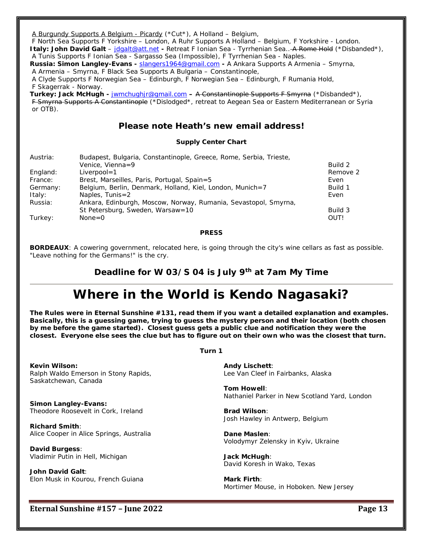A Burgundy Supports A Belgium - Picardy (\*Cut\*), A Holland – Belgium,

F North Sea Supports F Yorkshire – London, A Ruhr Supports A Holland – Belgium, F Yorkshire - London.

**Italy: John David Galt** – [jdgalt@att.net](mailto:jdgalt@att.net) **-** Retreat F Ionian Sea - Tyrrhenian Sea.. A Rome Hold (\*Disbanded\*), A Tunis Supports F Ionian Sea - Sargasso Sea (Impossible), F Tyrrhenian Sea - Naples.

**Russia: Simon Langley-Evans -** [slangers1964@gmail.com](mailto:slangers1964@gmail.com) **-** A Ankara Supports A Armenia – Smyrna,

A Armenia – Smyrna, F Black Sea Supports A Bulgaria – Constantinople,

A Clyde Supports F Norwegian Sea – Edinburgh, F Norwegian Sea – Edinburgh, F Rumania Hold, F Skagerrak - Norway.

**Turkey: Jack McHugh -** [jwmchughjr@gmail.com](mailto:jwmchughjr@gmail.com) **–** A Constantinople Supports F Smyrna (\*Disbanded\*), F Smyrna Supports A Constantinople (\*Dislodged\*, retreat to Aegean Sea or Eastern Mediterranean or Syria or OTB).

# **Please note Heath's new email address!**

### **Supply Center Chart**

| Austria: | Budapest, Bulgaria, Constantinople, Greece, Rome, Serbia, Trieste, |          |
|----------|--------------------------------------------------------------------|----------|
|          | Venice, Vienna=9                                                   | Build 2  |
| England: | $Liverpool = 1$                                                    | Remove 2 |
| France:  | Brest, Marseilles, Paris, Portugal, Spain=5                        | Even     |
| Germany: | Belgium, Berlin, Denmark, Holland, Kiel, London, Munich=7          | Build 1  |
| Italy:   | Naples, $Tunis=2$                                                  | Even     |
| Russia:  | Ankara, Edinburgh, Moscow, Norway, Rumania, Sevastopol, Smyrna,    |          |
|          | St Petersburg, Sweden, Warsaw=10                                   | Build 3  |
| Turkey:  | $None = 0$                                                         | OUT!     |

**PRESS**

**BORDEAUX**: A cowering government, relocated here, is going through the city's wine cellars as fast as possible. "Leave nothing for the Germans!" is the cry.

# **Deadline for W 03/S 04 is July 9th at 7am My Time**

# **Where in the World is Kendo Nagasaki?**

**The Rules were in Eternal Sunshine #131, read them if you want a detailed explanation and examples. Basically, this is a guessing game, trying to guess the mystery person and their location (both chosen by me before the game started). Closest guess gets a public clue and notification they were the closest. Everyone else sees the clue but has to figure out on their own who was the closest that turn.**

**Turn 1**

**Kevin Wilson:** Ralph Waldo Emerson in Stony Rapids,

Saskatchewan, Canada

**Simon Langley-Evans:** Theodore Roosevelt in Cork, Ireland

**Richard Smith**: Alice Cooper in Alice Springs, Australia

**David Burgess**: Vladimir Putin in Hell, Michigan

**John David Galt**: Elon Musk in Kourou, French Guiana

**Andy Lischett**: Lee Van Cleef in Fairbanks, Alaska

**Tom Howell**: Nathaniel Parker in New Scotland Yard, London

**Brad Wilson**: Josh Hawley in Antwerp, Belgium

**Dane Maslen**: Volodymyr Zelensky in Kyiv, Ukraine

**Jack McHugh**: David Koresh in Wako, Texas

**Mark Firth**: Mortimer Mouse, in Hoboken. New Jersey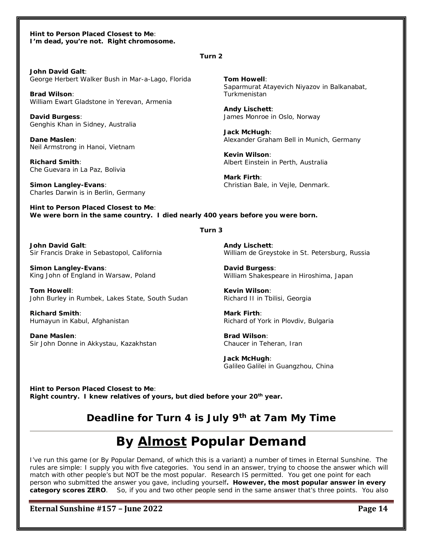#### **Hint to Person Placed Closest to Me**: *I'm dead, you're not. Right chromosome.*

#### **Turn 2**

**John David Galt**: George Herbert Walker Bush in Mar-a-Lago, Florida

**Brad Wilson**: William Ewart Gladstone in Yerevan, Armenia

**David Burgess**: Genghis Khan in Sidney, Australia

**Dane Maslen**: Neil Armstrong in Hanoi, Vietnam

**Richard Smith**: Che Guevara in La Paz, Bolivia

**Simon Langley-Evans**: Charles Darwin is in Berlin, Germany **Tom Howell**: Saparmurat Atayevich Niyazov in Balkanabat, Turkmenistan

**Andy Lischett**: James Monroe in Oslo, Norway

**Jack McHugh**: Alexander Graham Bell in Munich, Germany

**Kevin Wilson**: Albert Einstein in Perth, Australia

**Mark Firth**: Christian Bale, in Vejle, Denmark.

**Hint to Person Placed Closest to Me**: *We were born in the same country. I died nearly 400 years before you were born.* 

#### **Turn 3**

**John David Galt**: Sir Francis Drake in Sebastopol, California

**Simon Langley-Evans**: King John of England in Warsaw, Poland

**Tom Howell**: John Burley in Rumbek, Lakes State, South Sudan

**Richard Smith**: Humayun in Kabul, Afghanistan

**Dane Maslen**: Sir John Donne in Akkystau, Kazakhstan **Andy Lischett**: William de Greystoke in St. Petersburg, Russia

**David Burgess**: William Shakespeare in Hiroshima, Japan

**Kevin Wilson**: Richard II in Tbilisi, Georgia

**Mark Firth**: Richard of York in Plovdiv, Bulgaria

**Brad Wilson**: Chaucer in Teheran, Iran

**Jack McHugh**: Galileo Galilei in Guangzhou, China

**Hint to Person Placed Closest to Me**: *Right country. I knew relatives of yours, but died before your 20th year.*

# **Deadline for Turn 4 is July 9th at 7am My Time**

# **By Almost Popular Demand**

I've run this game (or By Popular Demand, of which this is a variant) a number of times in Eternal Sunshine. The rules are simple: I supply you with five categories. You send in an answer, trying to choose the answer which will match with other people's but NOT be the most popular. Research IS permitted. You get one point for each person who submitted the answer you gave, including yourself*. However, the most popular answer in every category scores ZERO*. So, if you and two other people send in the same answer that's three points. You also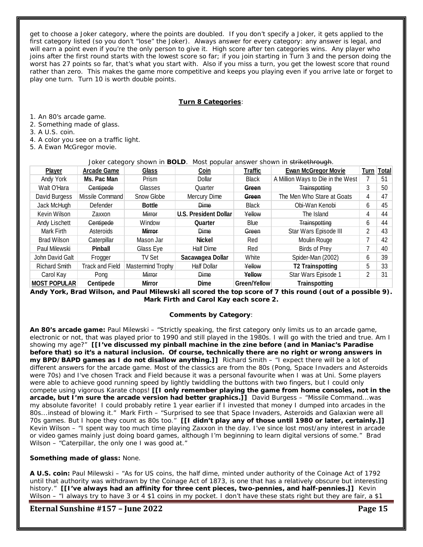get to choose a Joker category, where the points are doubled. If you don't specify a Joker, it gets applied to the first category listed (so you don't "lose" the Joker). Always answer for every category: any answer is legal, and will earn a point even if you're the only person to give it. High score after ten categories wins. Any player who joins after the first round starts with the lowest score so far; if you join starting in Turn 3 and the person doing the worst has 27 points so far, that's what you start with. Also if you miss a turn, you get the lowest score that round rather than zero. This makes the game more competitive and keeps you playing even if you arrive late or forget to play one turn. Turn 10 is worth double points.

### **Turn 8 Categories**:

1. An 80's arcade game.

2. Something made of glass.

3. A U.S. coin.

4. A color you see on a traffic light.

5. A Ewan McGregor movie.

#### Joker category shown in **BOLD**. Most popular answer shown in strikethrough.

| <b>Player</b>        | <b>Arcade Game</b>     | <b>Glass</b>      | Coin                         | <b>Traffic</b> | <b>Ewan McGregor Movie</b>        |   | Turn   Total |
|----------------------|------------------------|-------------------|------------------------------|----------------|-----------------------------------|---|--------------|
| Andy York            | Ms. Pac Man            | Prism             | Dollar                       | Black          | A Million Ways to Die in the West |   | 51           |
| Walt O'Hara          | <b>Centipede</b>       | Glasses           | Quarter                      | Green          | Trainspotting                     | 3 | 50           |
| David Burgess        | Missile Command        | Snow Globe        | Mercury Dime                 | Green          | The Men Who Stare at Goats        | 4 | 47           |
| Jack McHugh          | Defender               | <b>Bottle</b>     | <b>Dime</b>                  | <b>Black</b>   | Obi-Wan Kenobi                    | 6 | 45           |
| Kevin Wilson         | Zaxxon                 | Mirror            | <b>U.S. President Dollar</b> | Yellow         | The Island                        | 4 | 44           |
| Andy Lischett        | Centipede              | Window            | Quarter                      | <b>Blue</b>    | Trainspotting                     | 6 | 44           |
| Mark Firth           | Asteroids              | <b>Mirror</b>     | <b>Dime</b>                  | Green          | Star Wars Episode III             | 2 | 43           |
| <b>Brad Wilson</b>   | Caterpillar            | Mason Jar         | <b>Nickel</b>                | Red            | Moulin Rouge                      |   | 42           |
| Paul Milewski        | <b>Pinball</b>         | Glass Eye         | Half Dime                    | Red            | Birds of Prey                     |   | 40           |
| John David Galt      | Frogger                | TV Set            | Sacawagea Dollar             | White          | Spider-Man (2002)                 | 6 | 39           |
| <b>Richard Smith</b> | <b>Track and Field</b> | Mastermind Trophy | <b>Half Dollar</b>           | Yellow         | <b>T2 Trainspotting</b>           | 5 | 33           |
| Carol Kay            | Pong                   | Mirror            | <b>Dime</b>                  | Yellow         | Star Wars Episode 1               | 2 | 31           |
| <b>MOST POPULAR</b>  | <b>Centipede</b>       | <b>Mirror</b>     | <b>Dime</b>                  | Green/Yellow   | <b>Trainspotting</b>              |   |              |

**Andy York, Brad Wilson, and Paul Milewski all scored the top score of 7 this round (out of a possible 9). Mark Firth and Carol Kay each score 2.** 

#### **Comments by Category**:

**An 80's arcade game:** Paul Milewski – "Strictly speaking, the first category only limits us to an arcade game, electronic or not, that was played prior to 1990 and still played in the 1980s. I will go with the tried and true. Am I showing my age?" *[[I've discussed my pinball machine in the zine before (and in Maniac's Paradise before that) so it's a natural inclusion. Of course, technically there are no right or wrong answers in my BPD/BAPD games as I do not disallow anything.]]* Richard Smith – "I expect there will be a lot of different answers for the arcade game. Most of the classics are from the 80s (Pong, Space Invaders and Asteroids were 70s) and I've chosen Track and Field because it was a personal favourite when I was at Uni. Some players were able to achieve good running speed by lightly twiddling the buttons with two fingers, but I could only compete using vigorous Karate chops! *[[I only remember playing the game from home consoles, not in the arcade, but I'm sure the arcade version had better graphics.]]* David Burgess – "Missile Command...was my absolute favorite! I could probably retire 1 year earlier if I invested that money I dumped into arcades in the 80s...instead of blowing it." Mark Firth – "Surprised to see that Space Invaders, Asteroids and Galaxian were all 70s games. But I hope they count as 80s too." *[[I didn't play any of those until 1980 or later, certainly.]]* Kevin Wilson – "I spent way too much time playing Zaxxon in the day. I've since lost most/any interest in arcade or video games mainly just doing board games, although I'm beginning to learn digital versions of some." Brad Wilson – "Caterpillar, the only one I was good at."

### **Something made of glass:** None.

**A U.S. coin:** Paul Milewski – "As for US coins, the half dime, minted under authority of the Coinage Act of 1792 until that authority was withdrawn by the Coinage Act of 1873, is one that has a relatively obscure but interesting history." [[I've always had an affinity for three cent pieces, two-pennies, and half-pennies.]] Kevin Wilson – "I always try to have 3 or 4 \$1 coins in my pocket. I don't have these stats right but they are fair, a \$1